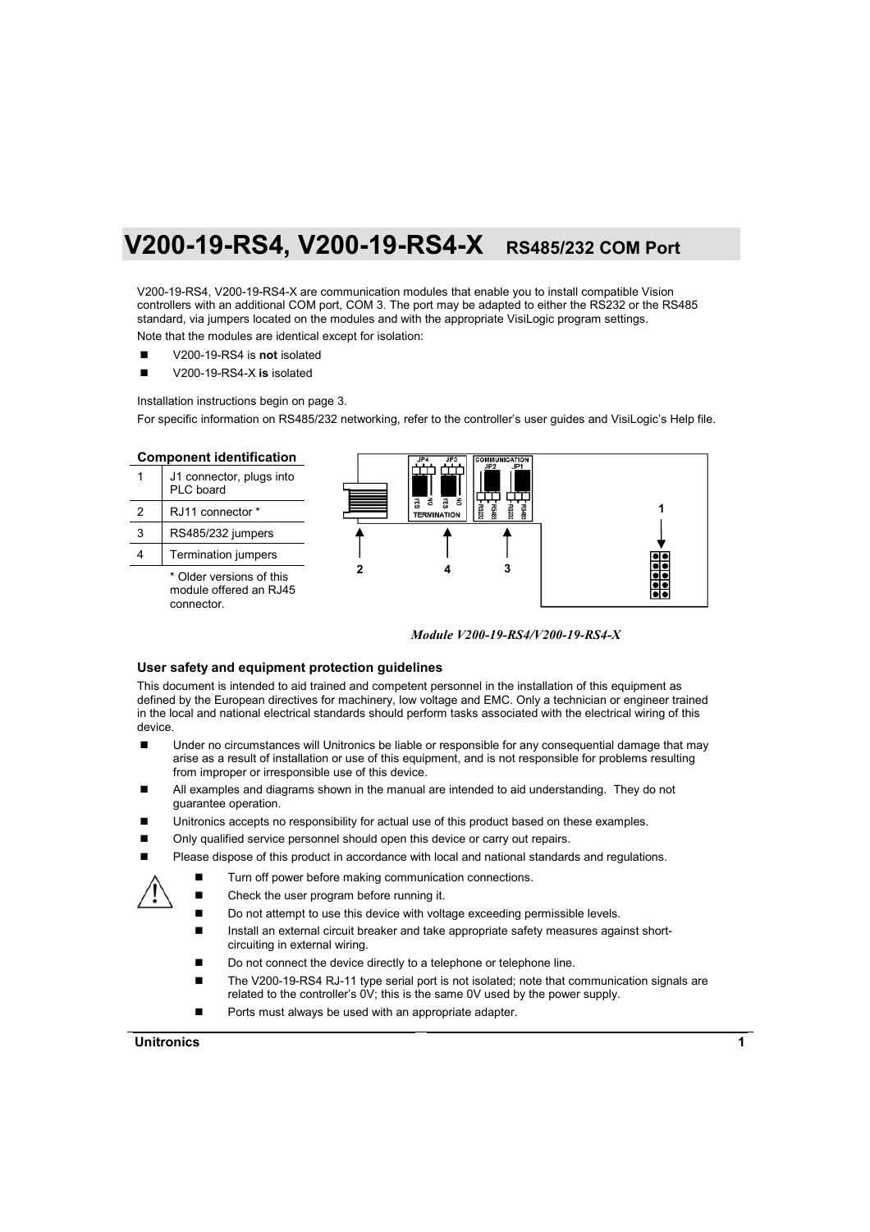# **V200-19-RS4, V200-19-RS4-X RS485/232 COM Port**

V200-19-RS4, V200-19-RS4-X are communication modules that enable you to install compatible Vision controllers with an additional COM port, COM 3. The port may be adapted to either the RS232 or the RS485 standard, via jumpers located on the modules and with the appropriate VisiLogic program settings.

Note that the modules are identical except for isolation:

- V200-19-RS4 is **not** isolated
- V200-19-RS4-X is isolated

Installation instructions begin on page [3.](#page-2-0)

For specific information on RS485/232 networking, refer to the controller's user guides and VisiLogic's Help file.



*Module V200-19-RS4/V200-19-RS4-X* 

#### **User safety and equipment protection guidelines**

This document is intended to aid trained and competent personnel in the installation of this equipment as defined by the European directives for machinery, low voltage and EMC. Only a technician or engineer trained in the local and national electrical standards should perform tasks associated with the electrical wiring of this device.

- Under no circumstances will Unitronics be liable or responsible for any consequential damage that may arise as a result of installation or use of this equipment, and is not responsible for problems resulting from improper or irresponsible use of this device.
- All examples and diagrams shown in the manual are intended to aid understanding. They do not guarantee operation.
- Unitronics accepts no responsibility for actual use of this product based on these examples.
- Only qualified service personnel should open this device or carry out repairs.
- Please dispose of this product in accordance with local and national standards and regulations.
	- Turn off power before making communication connections.
	- Check the user program before running it.
	- Do not attempt to use this device with voltage exceeding permissible levels.
	- Install an external circuit breaker and take appropriate safety measures against shortcircuiting in external wiring.
	- Do not connect the device directly to a telephone or telephone line.
	- The V200-19-RS4 RJ-11 type serial port is not isolated; note that communication signals are related to the controller's 0V; this is the same 0V used by the power supply.
	- Ports must always be used with an appropriate adapter.

#### **Unitronics 1**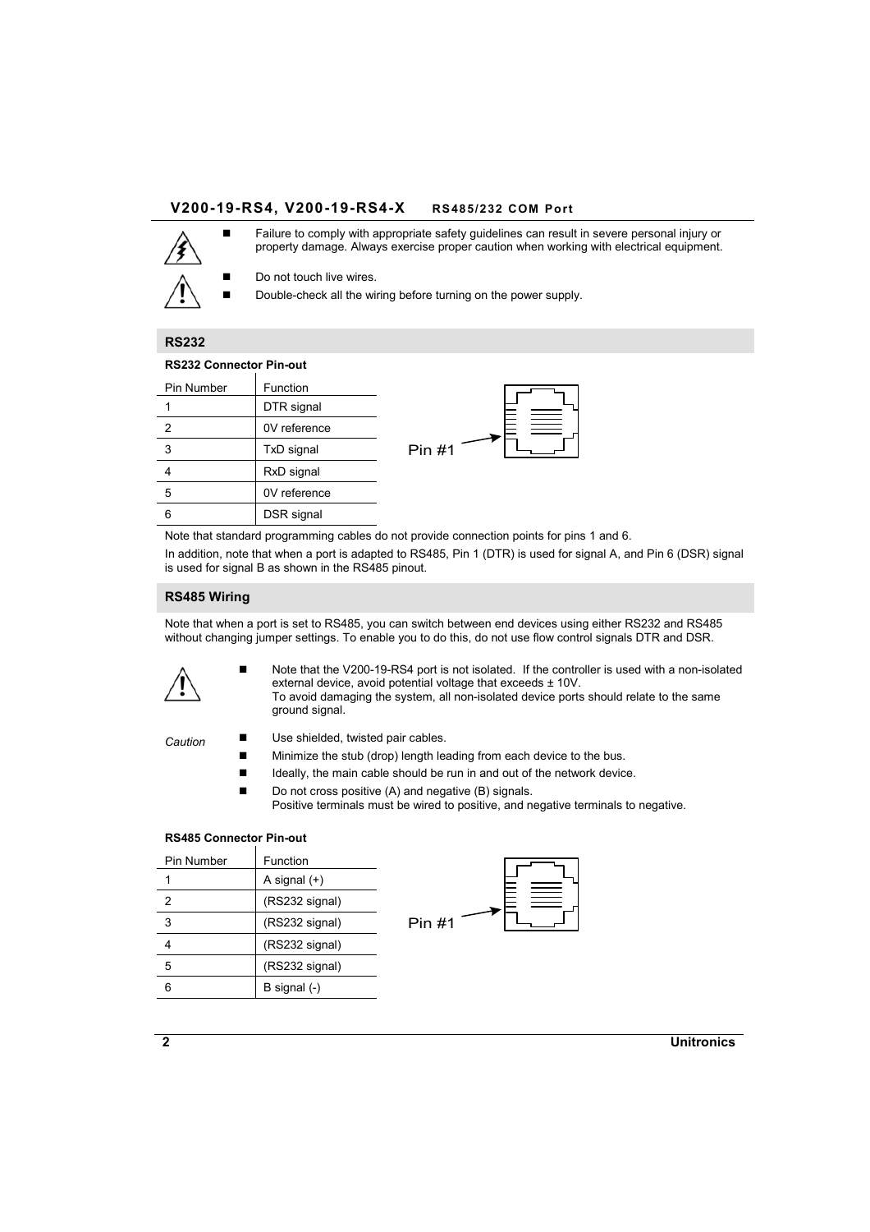## **V200-19-RS4, V200-19-RS4-X RS485/232 COM Port**



**Failure to comply with appropriate safety guidelines can result in severe personal injury or** property damage. Always exercise proper caution when working with electrical equipment.

Do not touch live wires.

Double-check all the wiring before turning on the power supply.

## **RS232**

#### **RS232 Connector Pin-out**

| Pin Number | Function     |       |  |
|------------|--------------|-------|--|
|            | DTR signal   |       |  |
| 2          | 0V reference |       |  |
| 3          | TxD signal   | Pin#1 |  |
|            | RxD signal   |       |  |
| 5          | 0V reference |       |  |
| 6          | DSR signal   |       |  |
|            |              |       |  |

Note that standard programming cables do not provide connection points for pins 1 and 6. In addition, note that when a port is adapted to RS485, Pin 1 (DTR) is used for signal A, and Pin 6 (DSR) signal is used for signal B as shown in the RS485 pinout.

#### **RS485 Wiring**

Note that when a port is set to RS485, you can switch between end devices using either RS232 and RS485 without changing jumper settings. To enable you to do this, do not use flow control signals DTR and DSR.



 Note that the V200-19-RS4 port is not isolated. If the controller is used with a non-isolated external device, avoid potential voltage that exceeds ± 10V. To avoid damaging the system, all non-isolated device ports should relate to the same ground signal.

- Caution Use shielded, twisted pair cables.
	- Minimize the stub (drop) length leading from each device to the bus.
	- Ideally, the main cable should be run in and out of the network device.
	- Do not cross positive (A) and negative (B) signals.

Positive terminals must be wired to positive, and negative terminals to negative.

#### **RS485 Connector Pin-out**

| Pin Number | Function       |  |
|------------|----------------|--|
|            | A signal (+)   |  |
| 2          | (RS232 signal) |  |
| 3          | (RS232 signal) |  |
|            | (RS232 signal) |  |
| 5          | (RS232 signal) |  |
| หิ         | B signal (-)   |  |



**2 Unitronics**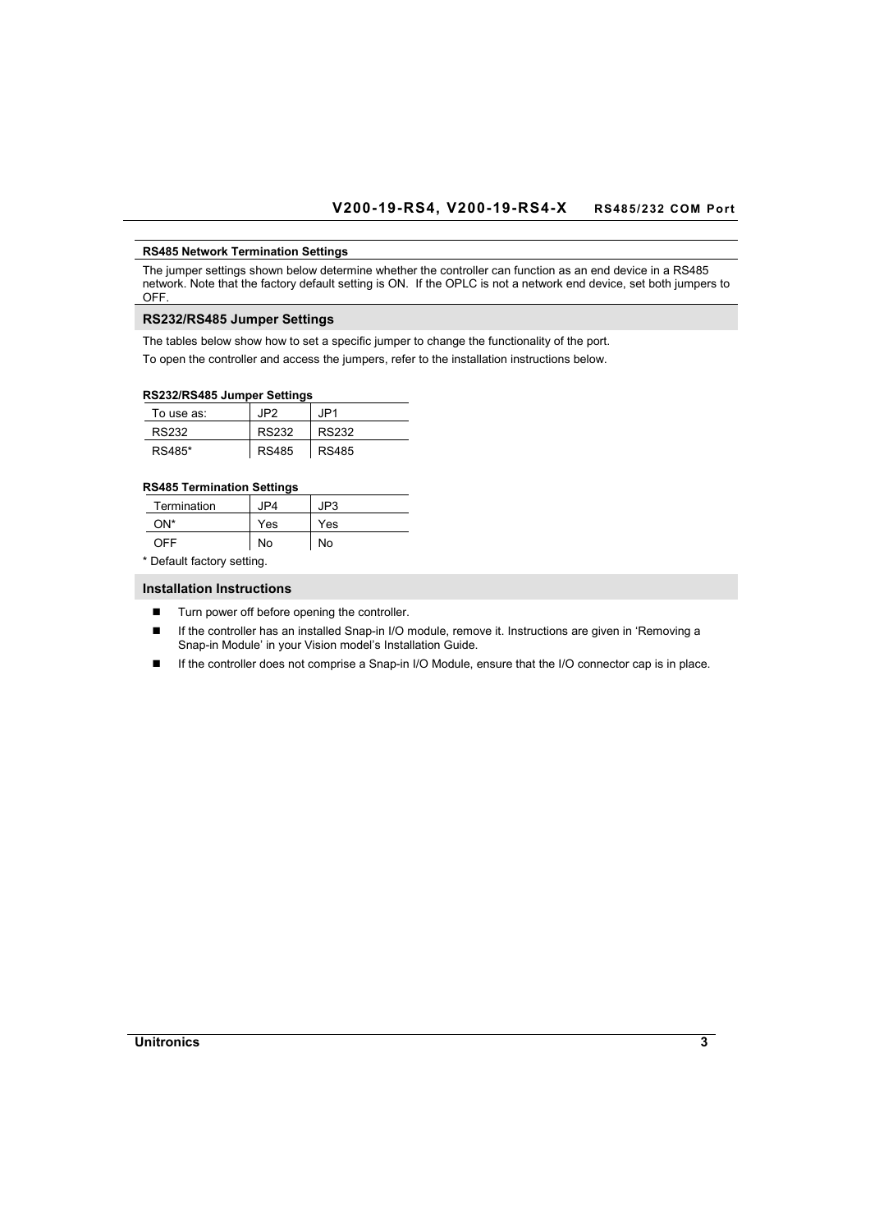#### <span id="page-2-0"></span>**RS485 Network Termination Settings**

The jumper settings shown below determine whether the controller can function as an end device in a RS485 network. Note that the factory default setting is ON. If the OPLC is not a network end device, set both jumpers to OFF.

## **RS232/RS485 Jumper Settings**

The tables below show how to set a specific jumper to change the functionality of the port.

To open the controller and access the jumpers, refer to the installation instructions below.

## **RS232/RS485 Jumper Settings**

| RƏZƏZIRƏ40Ə JUIIIDEI ƏBIIIIIYƏ |              |              |
|--------------------------------|--------------|--------------|
| To use as:                     | JP2.         | JP1.         |
| RS232                          | <b>RS232</b> | RS232        |
| RS485*                         | <b>RS485</b> | <b>RS485</b> |

## **RS485 Termination Settings**

| Termination                | JP4. | JP3 |
|----------------------------|------|-----|
| ON*                        | Yes  | Yes |
| OFF                        | No   | No  |
| * Default factory setting. |      |     |

**Installation Instructions** 

- Turn power off before opening the controller.
- If the controller has an installed Snap-in I/O module, remove it. Instructions are given in 'Removing a Snap-in Module' in your Vision model's Installation Guide.
- If the controller does not comprise a Snap-in I/O Module, ensure that the I/O connector cap is in place.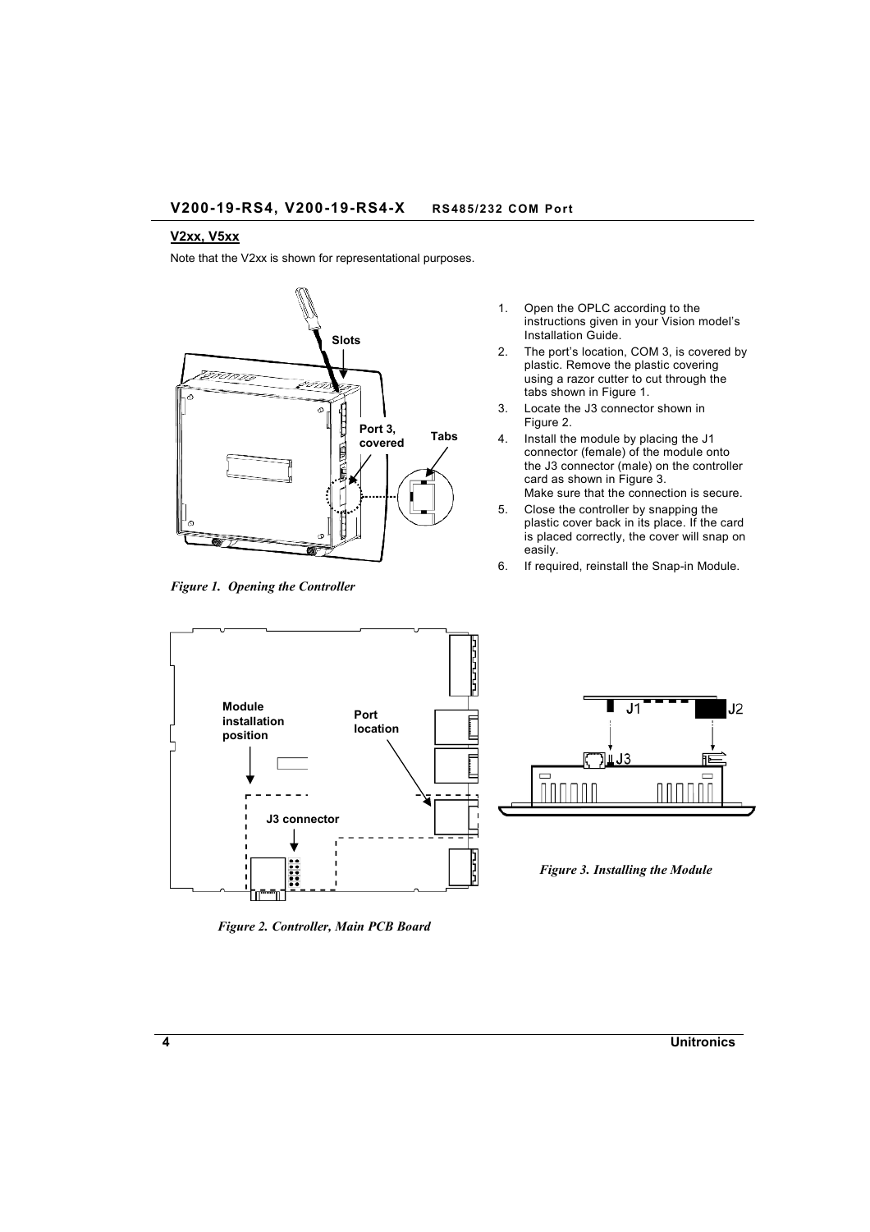#### <span id="page-3-0"></span>**V2xx, V5xx**

Note that the V2xx is shown for representational purposes.



*Figure 1. Opening the Controller* 

- 1. Open the OPLC according to the instructions given in your Vision model's Installation Guide.
- 2. The port's location, COM 3, is covered by plastic. Remove the plastic covering using a razor cutter to cut through the tabs shown in Figure 1.
- 3. Locate the J3 connector shown in Figure 2.
- 4. Install the module by placing the J1 connector (female) of the module onto the J3 connector (male) on the controller card as shown in Figure 3. Make sure that the connection is secure.
- 5. Close the controller by snapping the plastic cover back in its place. If the card is placed correctly, the cover will snap on easily.
- 6. If required, reinstall the Snap-in Module.



*Figure 2. Controller, Main PCB Board*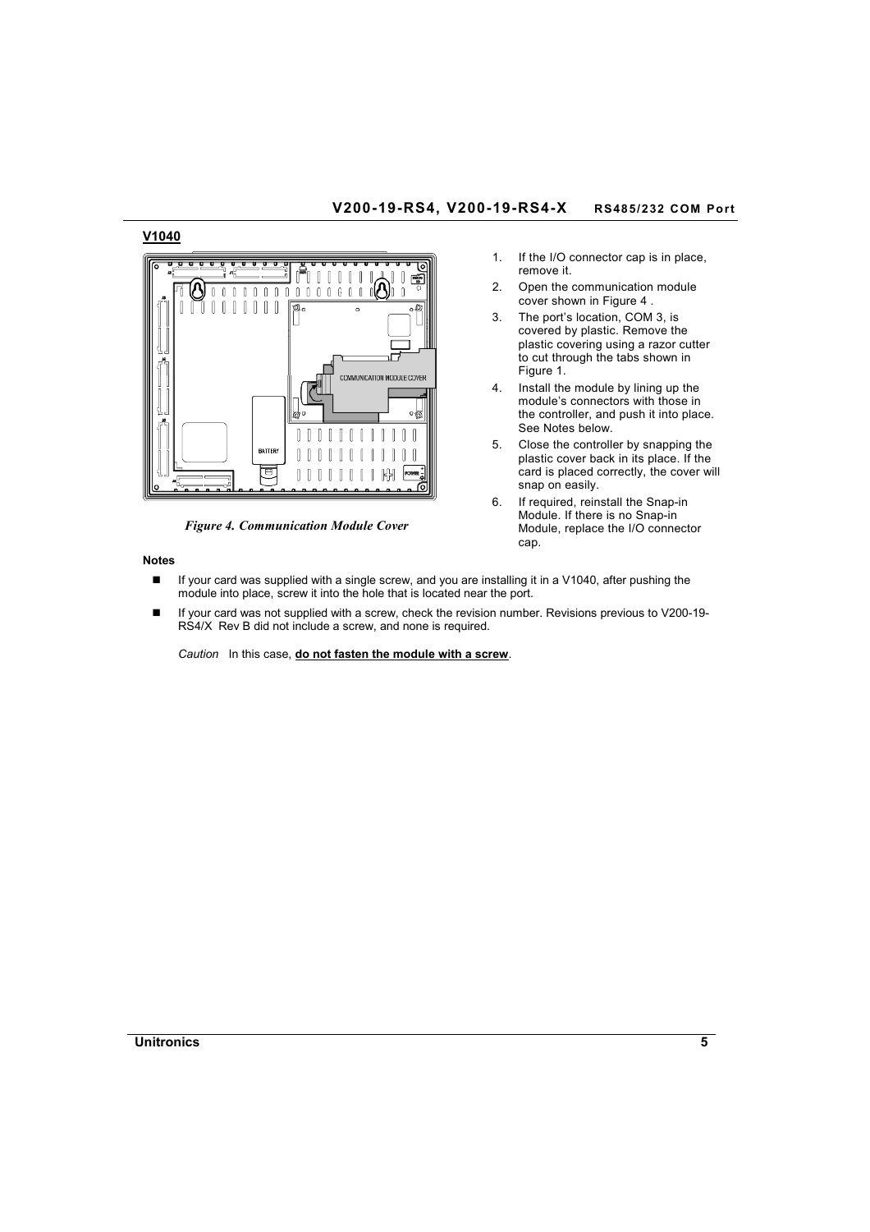# **V200-19-RS4, V200-19-RS4-X RS485/232 COM Port**

## **V1040**



*Figure 4. Communication Module Cover* 

#### **Notes**

- 1. If the I/O connector cap is in place, remove it.
	- 2. Open the communication module cover shown in Figure 4 .
	- 3. The port's location, COM 3, is covered by plastic. Remove the plastic covering using a razor cutter to cut through the tabs shown in [Figure 1.](#page-3-0)
	- 4. Install the module by lining up the module's connectors with those in the controller, and push it into place. See Notes below.
	- 5. Close the controller by snapping the plastic cover back in its place. If the card is placed correctly, the cover will snap on easily.
	- 6. If required, reinstall the Snap-in Module. If there is no Snap-in Module, replace the I/O connector cap.
- If your card was supplied with a single screw, and you are installing it in a V1040, after pushing the module into place, screw it into the hole that is located near the port.
- If your card was not supplied with a screw, check the revision number. Revisions previous to V200-19- RS4/X Rev B did not include a screw, and none is required.

*Caution* In this case, **do not fasten the module with a screw**.